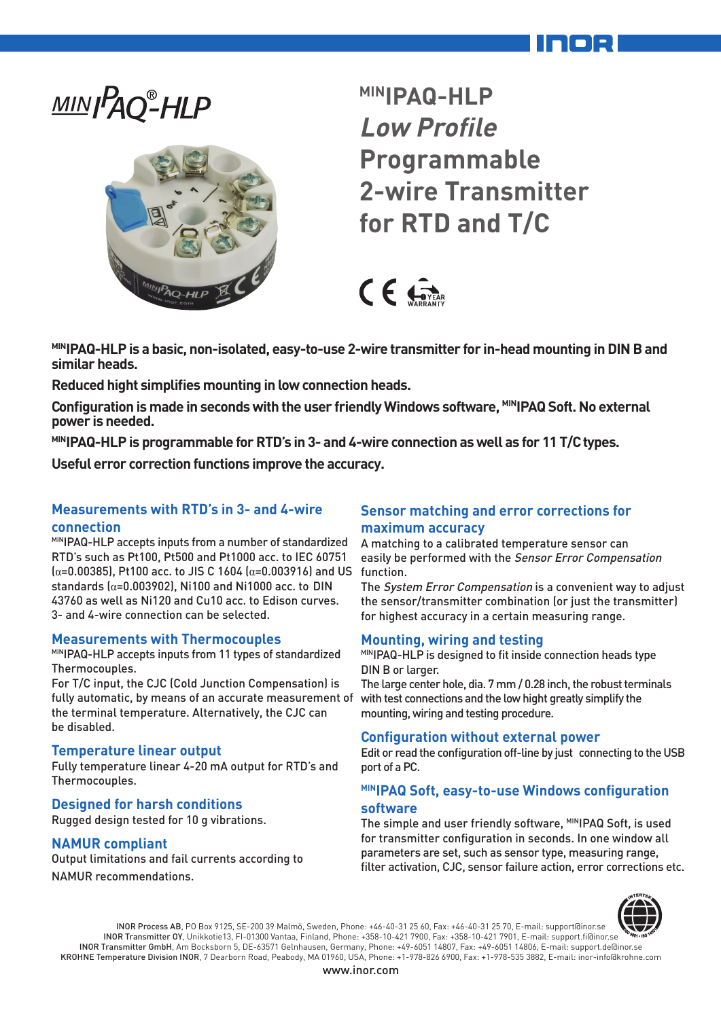# MIN<sub>IPAQ</sub><sup>®</sup>-HLP



**MINIPAQ-HLP Low Profile Programmable 2-wire Transmitter for RTD and T/C**

 $CF$ 

**MINIPAQ-HLP is a basic, non-isolated, easy-to-use 2-wire transmitter for in-head mounting in DIN B and similar heads.**

**Reduced hight simplifies mounting in low connection heads.**

Configuration is made in seconds with the user friendly Windows software, MINIPAQ Soft. No external **power is needed.**

**MINIPAQ-HLP is programmable for RTD's in 3- and 4-wire connection as well as for 11 T/C types.**

**Useful error correction functions improve the accuracy.**

## **Measurements with RTD's in 3- and 4-wire connection**

MINIPAQ-HLP accepts inputs from a number of standardized RTD's such as Pt100, Pt500 and Pt1000 acc. to IEC 60751 (α=0.00385), Pt100 acc. to JIS C 1604 (α=0.003916) and US function. standards  $\alpha$ =0.003902), Ni100 and Ni1000 acc. to DIN 43760 as well as Ni120 and Cu10 acc. to Edison curves. 3- and 4-wire connection can be selected.

#### **Measurements with Thermocouples**

MINIPAQ-HLP accepts inputs from 11 types of standardized Thermocouples.

For T/C input, the CJC (Cold Junction Compensation) is fully automatic, by means of an accurate measurement of the terminal temperature. Alternatively, the CJC can be disabled.

#### **Temperature linear output**

Fully temperature linear 4-20 mA output for RTD's and Thermocouples.

#### **Designed for harsh conditions**

Rugged design tested for 10 g vibrations.

#### **NAMUR compliant**

Output limitations and fail currents according to NAMUR recommendations.

## **Sensor matching and error corrections for maximum accuracy**

A matching to a calibrated temperature sensor can easily be performed with the Sensor Error Compensation

The System Error Compensation is a convenient way to adjust the sensor/transmitter combination (or just the transmitter) for highest accuracy in a certain measuring range.

#### **Mounting, wiring and testing**

MINIPAQ-HLP is designed to fit inside connection heads type DIN B or larger.

The large center hole, dia. 7 mm / 0.28 inch, the robust terminals with test connections and the low hight greatly simplify the mounting, wiring and testing procedure.

#### **Configuration without external power**

Edit or read the configuration off-line by just connecting to the USB port of a PC.

#### **MINIPAQ Soft, easy-to-use Windows configuration software**

The simple and user friendly software, MINIPAQ Soft, is used for transmitter configuration in seconds. In one window all parameters are set, such as sensor type, measuring range, filter activation, CJC, sensor failure action, error corrections etc.



INOR Process AB, PO Box 9125, SE-200 39 Malmö, Sweden, Phone: +46-40-31 25 60, Fax: +46-40-31 25 70, E-mail: support@inor.se INOR Transmitter OY, Unikkotie13, FI-01300 Vantaa, Finland, Phone: +358-10-421 7900, Fax: +358-10-421 7901, E-mail: support.fi@inor.se INOR Transmitter GmbH, Am Bocksborn 5, DE-63571 Gelnhausen, Germany, Phone: +49-6051 14807, Fax: +49-6051 14806, E-mail: support.de@inor.se KROHNE Temperature Division INOR, 7 Dearborn Road, Peabody, MA 01960, USA, Phone: +1-978-826 6900, Fax: +1-978-535 3882, E-mail: inor-info@krohne.com